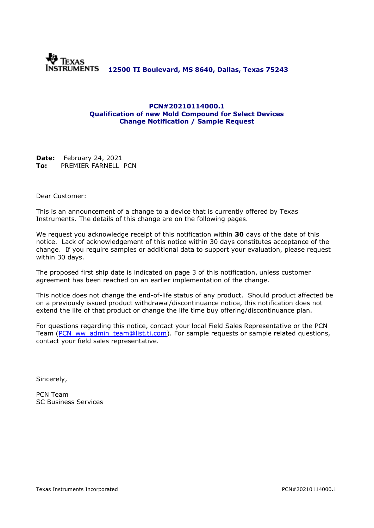

### **PCN#20210114000.1 Qualification of new Mold Compound for Select Devices Change Notification / Sample Request**

**Date:** February 24, 2021 **To:** PREMIER FARNELL PCN

Dear Customer:

This is an announcement of a change to a device that is currently offered by Texas Instruments. The details of this change are on the following pages.

We request you acknowledge receipt of this notification within **30** days of the date of this notice. Lack of acknowledgement of this notice within 30 days constitutes acceptance of the change. If you require samples or additional data to support your evaluation, please request within 30 days.

The proposed first ship date is indicated on page 3 of this notification, unless customer agreement has been reached on an earlier implementation of the change.

This notice does not change the end-of-life status of any product. Should product affected be on a previously issued product withdrawal/discontinuance notice, this notification does not extend the life of that product or change the life time buy offering/discontinuance plan.

For questions regarding this notice, contact your local Field Sales Representative or the PCN Team [\(PCN\\_ww\\_admin\\_team@list.ti.com\)](mailto:PCN_ww_admin_team@list.ti.com). For sample requests or sample related questions, contact your field sales representative.

Sincerely,

PCN Team SC Business Services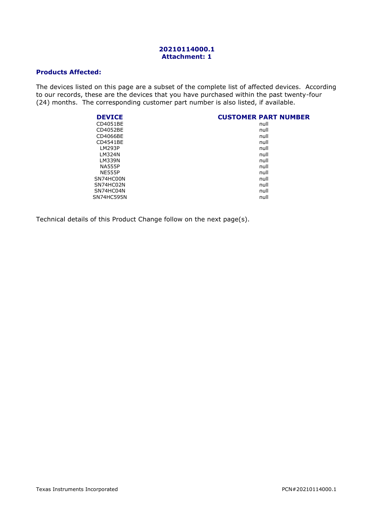#### **20210114000.1 Attachment: 1**

### **Products Affected:**

The devices listed on this page are a subset of the complete list of affected devices. According to our records, these are the devices that you have purchased within the past twenty-four (24) months. The corresponding customer part number is also listed, if available.

| <b>DEVICE</b> | <b>CUSTOMER PART NUMBER</b> |
|---------------|-----------------------------|
| CD4051BE      | null                        |
| CD4052BE      | null                        |
| CD4066BE      | null                        |
| CD4541BE      | null                        |
| LM293P        | null                        |
| LM324N        | null                        |
| <b>LM339N</b> | null                        |
| <b>NA555P</b> | null                        |
| <b>NE555P</b> | null                        |
| SN74HC00N     | null                        |
| SN74HC02N     | null                        |
| SN74HC04N     | null                        |
| SN74HC595N    | null                        |

Technical details of this Product Change follow on the next page(s).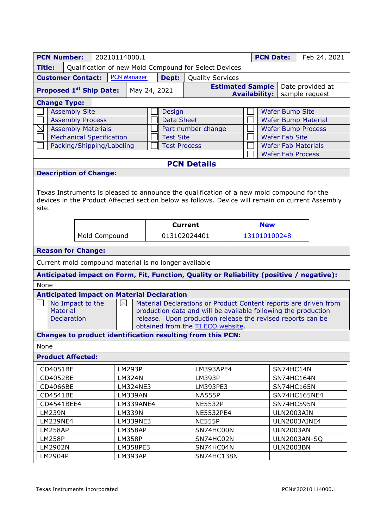| <b>PCN Number:</b>                                                                                                                                                                                                                                                                                          |               | 20210114000.1<br><b>PCN Date:</b> |               |                                         |           |                     |                                                                                          |                                                            | Feb 24, 2021              |                                                        |            |              |  |
|-------------------------------------------------------------------------------------------------------------------------------------------------------------------------------------------------------------------------------------------------------------------------------------------------------------|---------------|-----------------------------------|---------------|-----------------------------------------|-----------|---------------------|------------------------------------------------------------------------------------------|------------------------------------------------------------|---------------------------|--------------------------------------------------------|------------|--------------|--|
| Qualification of new Mold Compound for Select Devices<br><b>Title:</b>                                                                                                                                                                                                                                      |               |                                   |               |                                         |           |                     |                                                                                          |                                                            |                           |                                                        |            |              |  |
| <b>Customer Contact:</b>                                                                                                                                                                                                                                                                                    |               |                                   |               | <b>PCN Manager</b>                      |           | Dept:               | <b>Quality Services</b>                                                                  |                                                            |                           |                                                        |            |              |  |
| <b>Proposed 1st Ship Date:</b>                                                                                                                                                                                                                                                                              |               |                                   |               | <b>Estimated Sample</b><br>May 24, 2021 |           |                     |                                                                                          | Date provided at<br><b>Availability:</b><br>sample request |                           |                                                        |            |              |  |
| <b>Change Type:</b>                                                                                                                                                                                                                                                                                         |               |                                   |               |                                         |           |                     |                                                                                          |                                                            |                           |                                                        |            |              |  |
| <b>Assembly Site</b>                                                                                                                                                                                                                                                                                        |               |                                   |               |                                         | Design    |                     |                                                                                          |                                                            | <b>Wafer Bump Site</b>    |                                                        |            |              |  |
| <b>Assembly Process</b>                                                                                                                                                                                                                                                                                     |               |                                   |               | <b>Data Sheet</b>                       |           |                     |                                                                                          | <b>Wafer Bump Material</b>                                 |                           |                                                        |            |              |  |
| $\boxtimes$<br><b>Assembly Materials</b>                                                                                                                                                                                                                                                                    |               |                                   |               | Part number change                      |           |                     |                                                                                          |                                                            | <b>Wafer Bump Process</b> |                                                        |            |              |  |
| <b>Mechanical Specification</b><br>Packing/Shipping/Labeling                                                                                                                                                                                                                                                |               |                                   |               | <b>Test Site</b>                        |           |                     |                                                                                          |                                                            | <b>Wafer Fab Site</b>     |                                                        |            |              |  |
|                                                                                                                                                                                                                                                                                                             |               |                                   |               |                                         |           | <b>Test Process</b> |                                                                                          |                                                            |                           | <b>Wafer Fab Materials</b><br><b>Wafer Fab Process</b> |            |              |  |
| <b>PCN Details</b>                                                                                                                                                                                                                                                                                          |               |                                   |               |                                         |           |                     |                                                                                          |                                                            |                           |                                                        |            |              |  |
| <b>Description of Change:</b>                                                                                                                                                                                                                                                                               |               |                                   |               |                                         |           |                     |                                                                                          |                                                            |                           |                                                        |            |              |  |
| Texas Instruments is pleased to announce the qualification of a new mold compound for the<br>devices in the Product Affected section below as follows. Device will remain on current Assembly<br>site.                                                                                                      |               |                                   |               |                                         |           |                     |                                                                                          |                                                            |                           |                                                        |            |              |  |
|                                                                                                                                                                                                                                                                                                             |               |                                   |               |                                         |           |                     | <b>Current</b>                                                                           |                                                            | <b>New</b>                |                                                        |            |              |  |
|                                                                                                                                                                                                                                                                                                             |               |                                   | Mold Compound |                                         |           |                     | 013102024401                                                                             |                                                            | 131010100248              |                                                        |            |              |  |
| <b>Reason for Change:</b>                                                                                                                                                                                                                                                                                   |               |                                   |               |                                         |           |                     |                                                                                          |                                                            |                           |                                                        |            |              |  |
| Current mold compound material is no longer available                                                                                                                                                                                                                                                       |               |                                   |               |                                         |           |                     |                                                                                          |                                                            |                           |                                                        |            |              |  |
|                                                                                                                                                                                                                                                                                                             |               |                                   |               |                                         |           |                     | Anticipated impact on Form, Fit, Function, Quality or Reliability (positive / negative): |                                                            |                           |                                                        |            |              |  |
| None                                                                                                                                                                                                                                                                                                        |               |                                   |               |                                         |           |                     |                                                                                          |                                                            |                           |                                                        |            |              |  |
| <b>Anticipated impact on Material Declaration</b>                                                                                                                                                                                                                                                           |               |                                   |               |                                         |           |                     |                                                                                          |                                                            |                           |                                                        |            |              |  |
| No Impact to the<br>$\boxtimes$<br>Material Declarations or Product Content reports are driven from<br>Material<br>production data and will be available following the production<br>release. Upon production release the revised reports can be<br><b>Declaration</b><br>obtained from the TI ECO website. |               |                                   |               |                                         |           |                     |                                                                                          |                                                            |                           |                                                        |            |              |  |
|                                                                                                                                                                                                                                                                                                             |               |                                   |               |                                         |           |                     | <b>Changes to product identification resulting from this PCN:</b>                        |                                                            |                           |                                                        |            |              |  |
| None                                                                                                                                                                                                                                                                                                        |               |                                   |               |                                         |           |                     |                                                                                          |                                                            |                           |                                                        |            |              |  |
| <b>Product Affected:</b>                                                                                                                                                                                                                                                                                    |               |                                   |               |                                         |           |                     |                                                                                          |                                                            |                           |                                                        |            |              |  |
| CD4051BE                                                                                                                                                                                                                                                                                                    |               |                                   | <b>LM293P</b> |                                         |           |                     |                                                                                          | LM393APE4                                                  |                           |                                                        | SN74HC14N  |              |  |
| CD4052BE                                                                                                                                                                                                                                                                                                    | <b>LM324N</b> |                                   |               |                                         |           | LM393P              |                                                                                          |                                                            |                           | SN74HC164N                                             |            |              |  |
| CD4066BE                                                                                                                                                                                                                                                                                                    |               |                                   |               | LM324NE3                                | LM393PE3  |                     |                                                                                          |                                                            |                           |                                                        | SN74HC165N |              |  |
| CD4541BE                                                                                                                                                                                                                                                                                                    |               |                                   |               | <b>LM339AN</b>                          |           | <b>NA555P</b>       |                                                                                          |                                                            |                           |                                                        |            | SN74HC165NE4 |  |
| CD4541BEE4                                                                                                                                                                                                                                                                                                  |               |                                   |               | LM339ANE4                               |           |                     | <b>NE5532P</b>                                                                           |                                                            |                           |                                                        |            | SN74HC595N   |  |
| <b>LM239N</b>                                                                                                                                                                                                                                                                                               |               |                                   |               | <b>LM339N</b>                           |           |                     | NE5532PE4                                                                                |                                                            |                           |                                                        | ULN2003AIN |              |  |
| LM239NE4                                                                                                                                                                                                                                                                                                    |               |                                   | LM339NE3      |                                         |           | <b>NE555P</b>       |                                                                                          |                                                            |                           |                                                        |            | ULN2003AINE4 |  |
| LM258AP                                                                                                                                                                                                                                                                                                     |               |                                   |               | LM358AP                                 |           | SN74HC00N           |                                                                                          |                                                            |                           | <b>ULN2003AN</b>                                       |            |              |  |
| <b>LM258P</b>                                                                                                                                                                                                                                                                                               | <b>LM358P</b> |                                   |               |                                         | SN74HC02N |                     |                                                                                          |                                                            | <b>ULN2003AN-SQ</b>       |                                                        |            |              |  |
| LM2902N<br>LM358PE3                                                                                                                                                                                                                                                                                         |               |                                   |               |                                         | SN74HC04N |                     |                                                                                          |                                                            | <b>ULN2003BN</b>          |                                                        |            |              |  |
| LM2904P<br>LM393AP<br>SN74HC138N                                                                                                                                                                                                                                                                            |               |                                   |               |                                         |           |                     |                                                                                          |                                                            |                           |                                                        |            |              |  |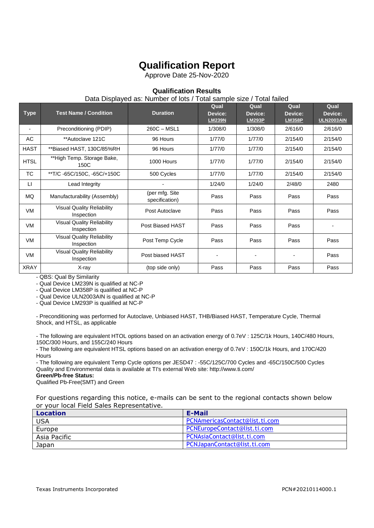# **Qualification Report**

Approve Date 25-Nov-2020

## **Qualification Results**

### Data Displayed as: Number of lots / Total sample size / Total failed

| <b>Type</b>              | <b>Test Name / Condition</b>                    | <b>Duration</b>                  | Qual<br>Device:<br><b>LM239N</b> | Qual<br>Device:<br><b>LM293P</b> | Qual<br>Device:<br><b>LM358P</b> | Qual<br>Device:<br><b>ULN2003AIN</b> |
|--------------------------|-------------------------------------------------|----------------------------------|----------------------------------|----------------------------------|----------------------------------|--------------------------------------|
| $\overline{\phantom{0}}$ | Preconditioning (PDIP)                          | $260C - MSL1$                    | 1/308/0                          | 1/308/0                          | 2/616/0                          | 2/616/0                              |
| AC                       | **Autoclave 121C                                | 96 Hours                         | 1/77/0                           | 1/77/0                           | 2/154/0                          | 2/154/0                              |
| <b>HAST</b>              | **Biased HAST, 130C/85%RH                       | 96 Hours                         | 1/77/0                           | 1/77/0                           | 2/154/0                          | 2/154/0                              |
| <b>HTSL</b>              | **High Temp. Storage Bake,<br>150C              | 1000 Hours                       | 1/77/0                           | 1/77/0                           | 2/154/0                          | 2/154/0                              |
| <b>TC</b>                | **T/C-65C/150C, -65C/+150C                      | 500 Cycles                       | 1/77/0                           | 1/77/0                           | 2/154/0                          | 2/154/0                              |
| П                        | Lead Integrity                                  |                                  | 1/24/0                           | 1/24/0                           | 2/48/0                           | 2480                                 |
| MQ                       | Manufacturability (Assembly)                    | (per mfg. Site<br>specification) | Pass                             | Pass                             | Pass                             | Pass                                 |
| <b>VM</b>                | <b>Visual Quality Reliability</b><br>Inspection | Post Autoclave                   | Pass                             | Pass                             | Pass                             | Pass                                 |
| <b>VM</b>                | <b>Visual Quality Reliability</b><br>Inspection | Post Biased HAST                 | Pass                             | Pass                             | Pass                             |                                      |
| <b>VM</b>                | <b>Visual Quality Reliability</b><br>Inspection | Post Temp Cycle                  | Pass                             | Pass                             | Pass                             | Pass                                 |
| <b>VM</b>                | <b>Visual Quality Reliability</b><br>Inspection | Post biased HAST                 | $\blacksquare$                   |                                  |                                  | Pass                                 |
| <b>XRAY</b>              | X-ray                                           | (top side only)                  | Pass                             | Pass                             | Pass                             | Pass                                 |

- QBS: Qual By Similarity

- Qual Device LM239N is qualified at NC-P

- Qual Device LM358P is qualified at NC-P

- Qual Device ULN2003AIN is qualified at NC-P

- Qual Device LM293P is qualified at NC-P

- Preconditioning was performed for Autoclave, Unbiased HAST, THB/Biased HAST, Temperature Cycle, Thermal Shock, and HTSL, as applicable

- The following are equivalent HTOL options based on an activation energy of 0.7eV : 125C/1k Hours, 140C/480 Hours, 150C/300 Hours, and 155C/240 Hours

- The following are equivalent HTSL options based on an activation energy of 0.7eV : 150C/1k Hours, and 170C/420 **Hours** 

- The following are equivalent Temp Cycle options per JESD47 : -55C/125C/700 Cycles and -65C/150C/500 Cycles Quality and Environmental data is available at TI's external Web site: http://www.ti.com/

**Green/Pb-free Status:**

Qualified Pb-Free(SMT) and Green

For questions regarding this notice, e-mails can be sent to the regional contacts shown below or your local Field Sales Representative.

| Location     | E-Mail                         |
|--------------|--------------------------------|
| USA          | PCNAmericasContact@list.ti.com |
| Europe       | PCNEuropeContact@list.ti.com   |
| Asia Pacific | PCNAsiaContact@list.ti.com     |
| Japan        | PCNJapanContact@list.ti.com    |